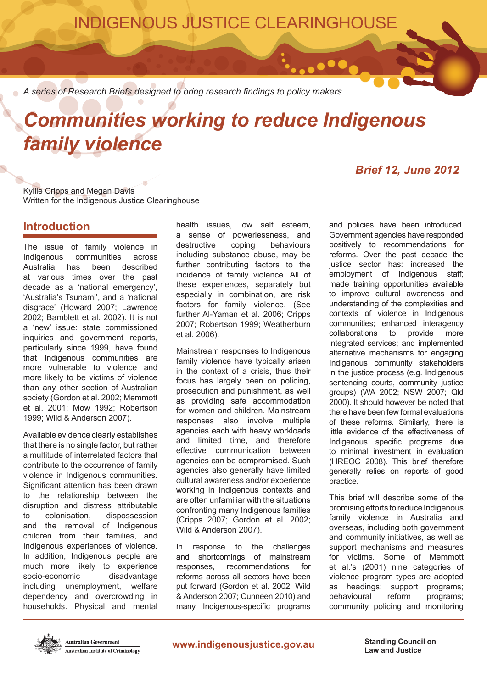INDIGENOUS JUSTICE CLEARINGHOUSE

 $\bullet\bullet\bullet$ 

*A series of Research Briefs designed to bring research findings to policy makers*

# *Communities working to reduce Indigenous family violence*

## *Brief 12, June 2012*

Kyllie Cripps and Megan Davis Written for the Indigenous Justice Clearinghouse

## **Introduction**

The issue of family violence in Indigenous communities across<br>Australia has been described Australia has been at various times over the past decade as a 'national emergency', 'Australia's Tsunami', and a 'national disgrace' (Howard 2007; Lawrence 2002; Bamblett et al. 2002). It is not a 'new' issue: state commissioned inquiries and government reports, particularly since 1999, have found that Indigenous communities are more vulnerable to violence and more likely to be victims of violence than any other section of Australian society (Gordon et al. 2002; Memmott et al. 2001; Mow 1992; Robertson 1999; Wild & Anderson 2007).

Available evidence clearly establishes that there is no single factor, but rather a multitude of interrelated factors that contribute to the occurrence of family violence in Indigenous communities. Significant attention has been drawn to the relationship between the disruption and distress attributable to colonisation, dispossession and the removal of Indigenous children from their families, and Indigenous experiences of violence. In addition, Indigenous people are much more likely to experience socio-economic disadvantage including unemployment, welfare dependency and overcrowding in households. Physical and mental health issues, low self esteem, a sense of powerlessness, and destructive coping behaviours including substance abuse, may be further contributing factors to the incidence of family violence. All of these experiences, separately but especially in combination, are risk factors for family violence. (See further Al-Yaman et al. 2006; Cripps 2007; Robertson 1999; Weatherburn et al. 2006).

Mainstream responses to Indigenous family violence have typically arisen in the context of a crisis, thus their focus has largely been on policing. prosecution and punishment, as well as providing safe accommodation for women and children. Mainstream responses also involve multiple agencies each with heavy workloads and limited time, and therefore effective communication between agencies can be compromised. Such agencies also generally have limited cultural awareness and/or experience working in Indigenous contexts and are often unfamiliar with the situations confronting many Indigenous families (Cripps 2007; Gordon et al. 2002; Wild & Anderson 2007).

In response to the challenges and shortcomings of mainstream responses, recommendations for reforms across all sectors have been put forward (Gordon et al. 2002; Wild & Anderson 2007; Cunneen 2010) and many Indigenous-specific programs

and policies have been introduced. Government agencies have responded positively to recommendations for reforms. Over the past decade the justice sector has: increased the employment of Indigenous staff; made training opportunities available to improve cultural awareness and understanding of the complexities and contexts of violence in Indigenous communities; enhanced interagency collaborations to provide more integrated services; and implemented alternative mechanisms for engaging Indigenous community stakeholders in the justice process (e.g. Indigenous sentencing courts, community justice groups) (WA 2002; NSW 2007; Qld 2000). It should however be noted that there have been few formal evaluations of these reforms. Similarly, there is little evidence of the effectiveness of Indigenous specific programs due to minimal investment in evaluation (HREOC 2008). This brief therefore generally relies on reports of good practice.

This brief will describe some of the promising efforts to reduce Indigenous family violence in Australia and overseas, including both government and community initiatives, as well as support mechanisms and measures for victims. Some of Memmott et al.'s (2001) nine categories of violence program types are adopted as headings: support programs; behavioural reform programs; community policing and monitoring



**Law and Justice**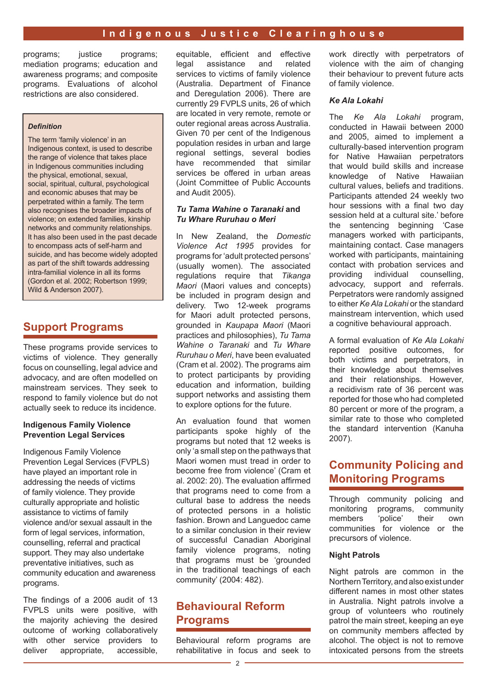programs; justice programs; mediation programs; education and awareness programs; and composite programs. Evaluations of alcohol restrictions are also considered.

#### *Definition*

The term 'family violence' in an Indigenous context, is used to describe the range of violence that takes place in Indigenous communities including the physical, emotional, sexual, social, spiritual, cultural, psychological and economic abuses that may be perpetrated within a family. The term also recognises the broader impacts of violence; on extended families, kinship networks and community relationships. It has also been used in the past decade to encompass acts of self-harm and suicide, and has become widely adopted as part of the shift towards addressing intra-familial violence in all its forms (Gordon et al. 2002; Robertson 1999; Wild & Anderson 2007).

# **Support Programs**

These programs provide services to victims of violence. They generally focus on counselling, legal advice and advocacy, and are often modelled on mainstream services. They seek to respond to family violence but do not actually seek to reduce its incidence.

#### **Indigenous Family Violence Prevention Legal Services**

Indigenous Family Violence Prevention Legal Services (FVPLS) have played an important role in addressing the needs of victims of family violence. They provide culturally appropriate and holistic assistance to victims of family violence and/or sexual assault in the form of legal services, information, counselling, referral and practical support. They may also undertake preventative initiatives, such as community education and awareness programs.

The findings of a 2006 audit of 13 FVPLS units were positive, with the majority achieving the desired outcome of working collaboratively with other service providers to deliver appropriate, accessible,

equitable, efficient and effective legal assistance and related services to victims of family violence (Australia. Department of Finance and Deregulation 2006). There are currently 29 FVPLS units, 26 of which are located in very remote, remote or outer regional areas across Australia. Given 70 per cent of the Indigenous population resides in urban and large regional settings, several bodies have recommended that similar services be offered in urban areas (Joint Committee of Public Accounts and Audit 2005).

#### *Tu Tama Wahine o Taranaki* **and**  *Tu Whare Ruruhau o Meri*

In New Zealand, the *Domestic Violence Act 1995* provides for programs for 'adult protected persons' (usually women). The associated regulations require that *Tikanga Maori* (Maori values and concepts) be included in program design and delivery. Two 12-week programs for Maori adult protected persons, grounded in *Kaupapa Maori* (Maori practices and philosophies), *Tu Tama Wahine o Taranaki* and *Tu Whare Ruruhau o Meri*, have been evaluated (Cram et al. 2002). The programs aim to protect participants by providing education and information, building support networks and assisting them to explore options for the future.

An evaluation found that women participants spoke highly of the programs but noted that 12 weeks is only 'a small step on the pathways that Maori women must tread in order to become free from violence' (Cram et al. 2002: 20). The evaluation affirmed that programs need to come from a cultural base to address the needs of protected persons in a holistic fashion. Brown and Languedoc came to a similar conclusion in their review of successful Canadian Aboriginal family violence programs, noting that programs must be 'grounded in the traditional teachings of each community' (2004: 482).

# **Behavioural Reform Programs**

Behavioural reform programs are rehabilitative in focus and seek to work directly with perpetrators of violence with the aim of changing their behaviour to prevent future acts of family violence.

#### *Ke Ala Lokahi*

The *Ke Ala Lokahi* program, conducted in Hawaii between 2000 and 2005, aimed to implement a culturally-based intervention program for Native Hawaiian perpetrators that would build skills and increase knowledge of Native Hawaiian cultural values, beliefs and traditions. Participants attended 24 weekly two hour sessions with a final two day session held at a cultural site.' before the sentencing beginning 'Case managers worked with participants, maintaining contact. Case managers worked with participants, maintaining contact with probation services and providing individual counselling, advocacy, support and referrals. Perpetrators were randomly assigned to either *Ke Ala Lokahi* or the standard mainstream intervention, which used a cognitive behavioural approach.

A formal evaluation of *Ke Ala Lokahi* reported positive outcomes, for both victims and perpetrators, in their knowledge about themselves and their relationships. However, a recidivism rate of 36 percent was reported for those who had completed 80 percent or more of the program, a similar rate to those who completed the standard intervention (Kanuha 2007).

# **Community Policing and Monitoring Programs**

Through community policing and monitoring programs, community members 'police' their own communities for violence or the precursors of violence.

#### **Night Patrols**

Night patrols are common in the Northern Territory, and also exist under different names in most other states in Australia. Night patrols involve a group of volunteers who routinely patrol the main street, keeping an eye on community members affected by alcohol. The object is not to remove intoxicated persons from the streets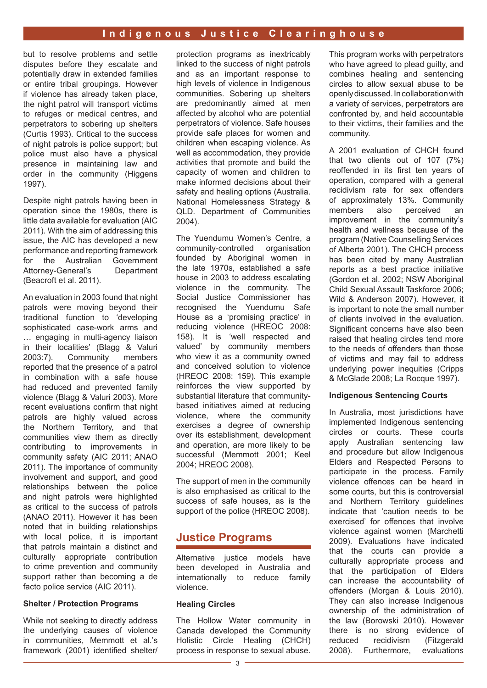#### **Indigenous Justice Clearinghouse**

but to resolve problems and settle disputes before they escalate and potentially draw in extended families or entire tribal groupings. However if violence has already taken place, the night patrol will transport victims to refuges or medical centres, and perpetrators to sobering up shelters (Curtis 1993). Critical to the success of night patrols is police support; but police must also have a physical presence in maintaining law and order in the community (Higgens 1997).

Despite night patrols having been in operation since the 1980s, there is little data available for evaluation (AIC 2011). With the aim of addressing this issue, the AIC has developed a new performance and reporting framework for the Australian Government Attorney-General's Department (Beacroft et al. 2011).

An evaluation in 2003 found that night patrols were moving beyond their traditional function to 'developing sophisticated case-work arms and … engaging in multi-agency liaison in their localities' (Blagg & Valuri 2003:7). Community members reported that the presence of a patrol in combination with a safe house had reduced and prevented family violence (Blagg & Valuri 2003). More recent evaluations confirm that night patrols are highly valued across the Northern Territory, and that communities view them as directly contributing to improvements in community safety (AIC 2011; ANAO 2011). The importance of community involvement and support, and good relationships between the police and night patrols were highlighted as critical to the success of patrols (ANAO 2011). However it has been noted that in building relationships with local police, it is important that patrols maintain a distinct and culturally appropriate contribution to crime prevention and community support rather than becoming a de facto police service (AIC 2011).

#### **Shelter / Protection Programs**

While not seeking to directly address the underlying causes of violence in communities, Memmott et al.'s framework (2001) identified shelter/

protection programs as inextricably linked to the success of night patrols and as an important response to high levels of violence in Indigenous communities. Sobering up shelters are predominantly aimed at men affected by alcohol who are potential perpetrators of violence. Safe houses provide safe places for women and children when escaping violence. As well as accommodation, they provide activities that promote and build the capacity of women and children to make informed decisions about their safety and healing options (Australia. National Homelessness Strategy & QLD. Department of Communities 2004).

The Yuendumu Women's Centre, a community-controlled organisation founded by Aboriginal women in the late 1970s, established a safe house in 2003 to address escalating violence in the community. The Social Justice Commissioner has recognised the Yuendumu Safe House as a 'promising practice' in reducing violence (HREOC 2008: 158). It is 'well respected and valued' by community members who view it as a community owned and conceived solution to violence (HREOC 2008: 159). This example reinforces the view supported by substantial literature that communitybased initiatives aimed at reducing violence, where the community exercises a degree of ownership over its establishment, development and operation, are more likely to be successful (Memmott 2001; Keel 2004; HREOC 2008).

The support of men in the community is also emphasised as critical to the success of safe houses, as is the support of the police (HREOC 2008).

## **Justice Programs**

Alternative justice models have been developed in Australia and internationally to reduce family violence.

#### **Healing Circles**

The Hollow Water community in Canada developed the Community Holistic Circle Healing (CHCH) process in response to sexual abuse. This program works with perpetrators who have agreed to plead guilty, and combines healing and sentencing circles to allow sexual abuse to be openly discussed. In collaboration with a variety of services, perpetrators are confronted by, and held accountable to their victims, their families and the community.

A 2001 evaluation of CHCH found that two clients out of 107 (7%) reoffended in its first ten years of operation, compared with a general recidivism rate for sex offenders of approximately 13%. Community members also perceived an improvement in the community's health and wellness because of the program (Native Counselling Services of Alberta 2001). The CHCH process has been cited by many Australian reports as a best practice initiative (Gordon et al. 2002; NSW Aboriginal Child Sexual Assault Taskforce 2006; Wild & Anderson 2007). However, it is important to note the small number of clients involved in the evaluation. Significant concerns have also been raised that healing circles tend more to the needs of offenders than those of victims and may fail to address underlying power inequities (Cripps & McGlade 2008; La Rocque 1997).

#### **Indigenous Sentencing Courts**

In Australia, most jurisdictions have implemented Indigenous sentencing circles or courts. These courts apply Australian sentencing law and procedure but allow Indigenous Elders and Respected Persons to participate in the process. Family violence offences can be heard in some courts, but this is controversial and Northern Territory guidelines indicate that 'caution needs to be exercised' for offences that involve violence against women (Marchetti 2009). Evaluations have indicated that the courts can provide a culturally appropriate process and that the participation of Elders can increase the accountability of offenders (Morgan & Louis 2010). They can also increase Indigenous ownership of the administration of the law (Borowski 2010). However there is no strong evidence of<br>reduced recidivism (Fitzgerald reduced recidivism (Fitzgerald 2008). Furthermore, evaluations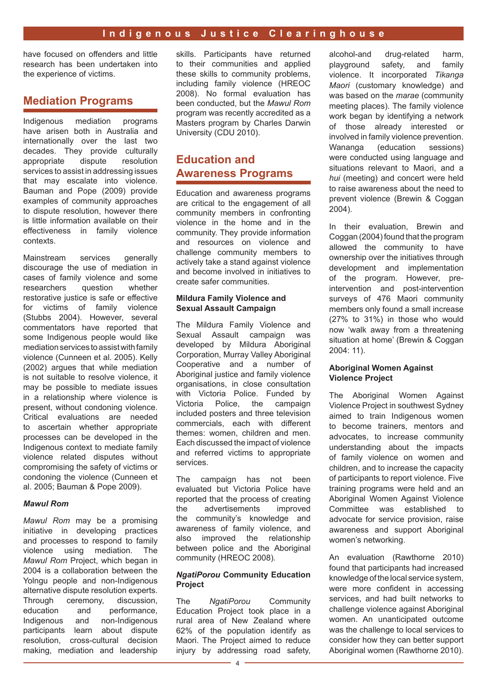have focused on offenders and little research has been undertaken into the experience of victims.

# **Mediation Programs**

Indigenous mediation programs have arisen both in Australia and internationally over the last two decades. They provide culturally appropriate dispute resolution services to assist in addressing issues that may escalate into violence. Bauman and Pope (2009) provide examples of community approaches to dispute resolution, however there is little information available on their effectiveness in family violence contexts.

Mainstream services generally discourage the use of mediation in cases of family violence and some researchers question whether restorative justice is safe or effective for victims of family violence (Stubbs 2004). However, several commentators have reported that some Indigenous people would like mediation services to assist with family violence (Cunneen et al. 2005). Kelly (2002) argues that while mediation is not suitable to resolve violence, it may be possible to mediate issues in a relationship where violence is present, without condoning violence. Critical evaluations are needed to ascertain whether appropriate processes can be developed in the Indigenous context to mediate family violence related disputes without compromising the safety of victims or condoning the violence (Cunneen et al. 2005; Bauman & Pope 2009).

#### *Mawul Rom*

*Mawul Rom* may be a promising initiative in developing practices and processes to respond to family violence using mediation. The *Mawul Rom* Project, which began in 2004 is a collaboration between the Yolngu people and non-Indigenous alternative dispute resolution experts. Through ceremony, discussion, education and performance, Indigenous and non-Indigenous participants learn about dispute resolution, cross-cultural decision making, mediation and leadership skills. Participants have returned to their communities and applied these skills to community problems, including family violence (HREOC 2008). No formal evaluation has been conducted, but the *Mawul Rom* program was recently accredited as a Masters program by Charles Darwin University (CDU 2010).

# **Education and Awareness Programs**

Education and awareness programs are critical to the engagement of all community members in confronting violence in the home and in the community. They provide information and resources on violence and challenge community members to actively take a stand against violence and become involved in initiatives to create safer communities.

#### **Mildura Family Violence and Sexual Assault Campaign**

The Mildura Family Violence and Sexual Assault campaign was developed by Mildura Aboriginal Corporation, Murray Valley Aboriginal Cooperative and a number of Aboriginal justice and family violence organisations, in close consultation with Victoria Police. Funded by Victoria Police, the campaign included posters and three television commercials, each with different themes: women, children and men. Each discussed the impact of violence and referred victims to appropriate services.

The campaign has not been evaluated but Victoria Police have reported that the process of creating the advertisements improved the community's knowledge and awareness of family violence, and also improved the relationship between police and the Aboriginal community (HREOC 2008).

#### *NgatiPorou* **Community Education Project**

The *NgatiPorou* Community Education Project took place in a rural area of New Zealand where 62% of the population identify as Maori. The Project aimed to reduce injury by addressing road safety. alcohol-and drug-related harm, playground safety, and family violence. It incorporated *Tikanga Maori* (customary knowledge) and was based on the *marae* (community meeting places). The family violence work began by identifying a network of those already interested or involved in family violence prevention. Wananga (education sessions) were conducted using language and situations relevant to Maori, and a *hui* (meeting) and concert were held to raise awareness about the need to prevent violence (Brewin & Coggan 2004).

In their evaluation, Brewin and Coggan (2004) found that the program allowed the community to have ownership over the initiatives through development and implementation of the program. However, preintervention and post-intervention surveys of 476 Maori community members only found a small increase (27% to 31%) in those who would now 'walk away from a threatening situation at home' (Brewin & Coggan 2004: 11).

#### **Aboriginal Women Against Violence Project**

The Aboriginal Women Against Violence Project in southwest Sydney aimed to train Indigenous women to become trainers, mentors and advocates, to increase community understanding about the impacts of family violence on women and children, and to increase the capacity of participants to report violence. Five training programs were held and an Aboriginal Women Against Violence Committee was established to advocate for service provision, raise awareness and support Aboriginal women's networking.

An evaluation (Rawthorne 2010) found that participants had increased knowledge of the local service system, were more confident in accessing services, and had built networks to challenge violence against Aboriginal women. An unanticipated outcome was the challenge to local services to consider how they can better support Aboriginal women (Rawthorne 2010).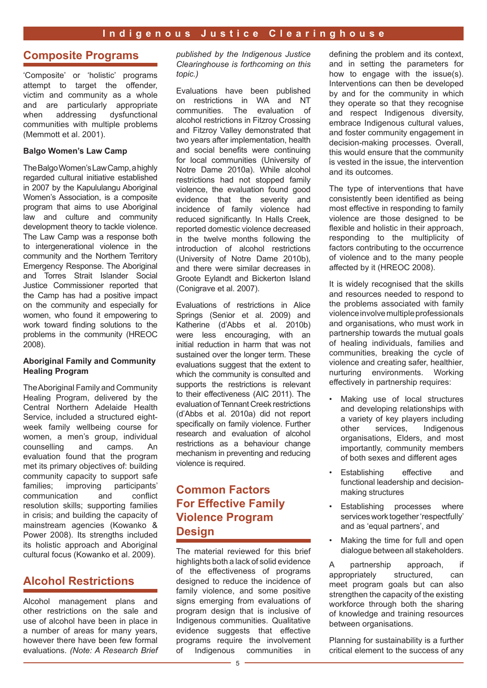## **Composite Programs**

'Composite' or 'holistic' programs attempt to target the offender, victim and community as a whole and are particularly appropriate when addressing dysfunctional communities with multiple problems (Memmott et al. 2001).

#### **Balgo Women's Law Camp**

The Balgo Women's Law Camp, a highly regarded cultural initiative established in 2007 by the Kapululangu Aboriginal Women's Association, is a composite program that aims to use Aboriginal law and culture and community development theory to tackle violence. The Law Camp was a response both to intergenerational violence in the community and the Northern Territory Emergency Response. The Aboriginal and Torres Strait Islander Social Justice Commissioner reported that the Camp has had a positive impact on the community and especially for women, who found it empowering to work toward finding solutions to the problems in the community (HREOC 2008).

#### **Aboriginal Family and Community Healing Program**

The Aboriginal Family and Community Healing Program, delivered by the Central Northern Adelaide Health Service, included a structured eightweek family wellbeing course for women, a men's group, individual counselling and camps. An counselling and camps. An evaluation found that the program met its primary objectives of: building community capacity to support safe families; improving participants'<br>communication and conflict communication and resolution skills; supporting families in crisis; and building the capacity of mainstream agencies (Kowanko & Power 2008). Its strengths included its holistic approach and Aboriginal cultural focus (Kowanko et al. 2009).

## **Alcohol Restrictions**

Alcohol management plans and other restrictions on the sale and use of alcohol have been in place in a number of areas for many years, however there have been few formal evaluations. *(Note: A Research Brief*  *published by the Indigenous Justice Clearinghouse is forthcoming on this topic.)*

Evaluations have been published on restrictions in WA and NT communities. The evaluation of alcohol restrictions in Fitzroy Crossing and Fitzroy Valley demonstrated that two years after implementation, health and social benefits were continuing for local communities (University of Notre Dame 2010a). While alcohol restrictions had not stopped family violence, the evaluation found good evidence that the severity and incidence of family violence had reduced significantly. In Halls Creek, reported domestic violence decreased in the twelve months following the introduction of alcohol restrictions (University of Notre Dame 2010b), and there were similar decreases in Groote Eylandt and Bickerton Island (Conigrave et al. 2007).

Evaluations of restrictions in Alice Springs (Senior et al. 2009) and Katherine (d'Abbs et al. 2010b) were less encouraging, with an initial reduction in harm that was not sustained over the longer term. These evaluations suggest that the extent to which the community is consulted and supports the restrictions is relevant to their effectiveness (AIC 2011). The evaluation of Tennant Creek restrictions (d'Abbs et al. 2010a) did not report specifically on family violence. Further research and evaluation of alcohol restrictions as a behaviour change mechanism in preventing and reducing violence is required.

# **Common Factors For Effective Family Violence Program Design**

The material reviewed for this brief highlights both a lack of solid evidence of the effectiveness of programs designed to reduce the incidence of family violence, and some positive signs emerging from evaluations of program design that is inclusive of Indigenous communities. Qualitative evidence suggests that effective programs require the involvement of Indigenous communities in defining the problem and its context, and in setting the parameters for how to engage with the issue(s). Interventions can then be developed by and for the community in which they operate so that they recognise and respect Indigenous diversity, embrace Indigenous cultural values, and foster community engagement in decision-making processes. Overall this would ensure that the community is vested in the issue, the intervention and its outcomes.

The type of interventions that have consistently been identified as being most effective in responding to family violence are those designed to be flexible and holistic in their approach, responding to the multiplicity of factors contributing to the occurrence of violence and to the many people affected by it (HREOC 2008).

It is widely recognised that the skills and resources needed to respond to the problems associated with family violence involve multiple professionals and organisations, who must work in partnership towards the mutual goals of healing individuals, families and communities, breaking the cycle of violence and creating safer, healthier, nurturing environments. Working effectively in partnership requires:

- Making use of local structures and developing relationships with a variety of key players including other services, Indigenous organisations, Elders, and most importantly, community members of both sexes and different ages
- Establishing effective and functional leadership and decisionmaking structures
- Establishing processes where services work together 'respectfully' and as 'equal partners', and
- Making the time for full and open dialogue between all stakeholders.

A partnership approach, if appropriately structured, can meet program goals but can also strengthen the capacity of the existing workforce through both the sharing of knowledge and training resources between organisations.

Planning for sustainability is a further critical element to the success of any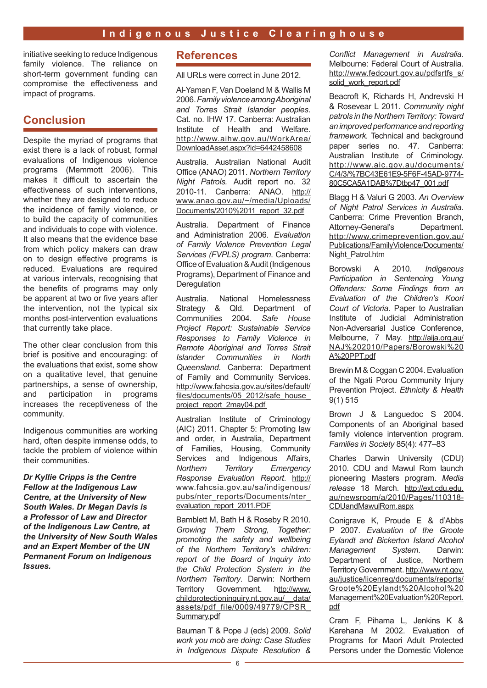initiative seeking to reduce Indigenous family violence. The reliance on short-term government funding can compromise the effectiveness and impact of programs.

# **Conclusion**

Despite the myriad of programs that exist there is a lack of robust, formal evaluations of Indigenous violence programs (Memmott 2006). This makes it difficult to ascertain the effectiveness of such interventions, whether they are designed to reduce the incidence of family violence, or to build the capacity of communities and individuals to cope with violence. It also means that the evidence base from which policy makers can draw on to design effective programs is reduced. Evaluations are required at various intervals, recognising that the benefits of programs may only be apparent at two or five years after the intervention, not the typical six months post-intervention evaluations that currently take place.

The other clear conclusion from this brief is positive and encouraging: of the evaluations that exist, some show on a qualitative level, that genuine partnerships, a sense of ownership, and participation in programs increases the receptiveness of the community.

Indigenous communities are working hard, often despite immense odds, to tackle the problem of violence within their communities.

*Dr Kyllie Cripps is the Centre Fellow at the Indigenous Law Centre, at the University of New South Wales. Dr Megan Davis is a Professor of Law and Director of the Indigenous Law Centre, at the University of New South Wales and an Expert Member of the UN Permanent Forum on Indigenous Issues.*

## **References**

All URLs were correct in June 2012.

Al-Yaman F, Van Doeland M & Wallis M 2006. *Family violence among Aboriginal and Torres Strait Islander peoples*. Cat. no. IHW 17. Canberra: Australian Institute of Health and Welfare. [http://www.aihw.gov.au/WorkArea/](http://www.aihw.gov.au/WorkArea/DownloadAsset.aspx?id=6442458608) [DownloadAsset.aspx?id=6442458608](http://www.aihw.gov.au/WorkArea/DownloadAsset.aspx?id=6442458608)

Australia. Australian National Audit Office (ANAO) 2011. *Northern Territory Night Patrols.* Audit report no. 32 2010-11. Canberra: ANAO. [http://](http://www.anao.gov.au/~/media/Uploads/Documents/2010 11_report_32.pdf) [www.anao.gov.au/~/media/Uploads/](http://www.anao.gov.au/~/media/Uploads/Documents/2010 11_report_32.pdf) [Documents/2010%2011\\_report\\_32.pdf](http://www.anao.gov.au/~/media/Uploads/Documents/2010 11_report_32.pdf)

Australia. Department of Finance and Administration 2006. *Evaluation of Family Violence Prevention Legal Services (FVPLS) program*. Canberra: Office of Evaluation & Audit (Indigenous Programs), Department of Finance and **Deregulation** 

Australia. National Homelessness Strategy & Qld. Department of Communities 2004. *Safe House Project Report: Sustainable Service Responses to Family Violence in Remote Aboriginal and Torres Strait Islander Communities in North Queensland*. Canberra: Department of Family and Community Services. [http://www.fahcsia.gov.au/sites/default/](http://www.fahcsia.gov.au/sites/default/files/documents/05_2012/safe_house_project_report_2may04.pdf ) [files/documents/05\\_2012/safe\\_house\\_](http://www.fahcsia.gov.au/sites/default/files/documents/05_2012/safe_house_project_report_2may04.pdf ) [project\\_report\\_2may04.pdf](http://www.fahcsia.gov.au/sites/default/files/documents/05_2012/safe_house_project_report_2may04.pdf ) 

Australian Institute of Criminology (AIC) 2011. Chapter 5: Promoting law and order, in Australia, Department of Families, Housing, Community Services and Indigenous Affairs, *Northern Territory Emergency Response Evaluation Report*. [http://](http://www.fahcsia.gov.au/sa/indigenous/pubs/nter_reports/Documents/nter_evaluation_report_2011.PDF) [www.fahcsia.gov.au/sa/indigenous/](http://www.fahcsia.gov.au/sa/indigenous/pubs/nter_reports/Documents/nter_evaluation_report_2011.PDF) [pubs/nter\\_reports/Documents/nter\\_](http://www.fahcsia.gov.au/sa/indigenous/pubs/nter_reports/Documents/nter_evaluation_report_2011.PDF) [evaluation\\_report\\_2011.PDF](http://www.fahcsia.gov.au/sa/indigenous/pubs/nter_reports/Documents/nter_evaluation_report_2011.PDF)

Bamblett M, Bath H & Roseby R 2010. *Growing Them Strong, Together: promoting the safety and wellbeing of the Northern Territory's children: report of the Board of Inquiry into the Child Protection System in the Northern Territory*. Darwin: Northern Territory Government. [http://www.](http://www.childprotectioninquiry.nt.gov.au/__data/assets/pdf_file/0009/49779/CPSR_Summary.pdf) [childprotectioninquiry.nt.gov.au/\\_\\_data/](http://www.childprotectioninquiry.nt.gov.au/__data/assets/pdf_file/0009/49779/CPSR_Summary.pdf) [assets/pdf\\_file/0009/49779/CPSR\\_](http://www.childprotectioninquiry.nt.gov.au/__data/assets/pdf_file/0009/49779/CPSR_Summary.pdf) [Summary.pdf](http://www.childprotectioninquiry.nt.gov.au/__data/assets/pdf_file/0009/49779/CPSR_Summary.pdf)

Bauman T & Pope J (eds) 2009. *Solid work you mob are doing: Case Studies in Indigenous Dispute Resolution &* 

*Conflict Management in Australia.* Melbourne: Federal Court of Australia. [http://www.fedcourt.gov.au/pdfsrtfs\\_s/](http://www.fedcourt.gov.au/pdfsrtfs_s/solid_work_report.pdf) [solid\\_work\\_report.pdf](http://www.fedcourt.gov.au/pdfsrtfs_s/solid_work_report.pdf)

Beacroft K, Richards H, Andrevski H & Rosevear L 2011. *Community night patrols in the Northern Territory: Toward an improved performance and reporting framework.* Technical and background paper series no. 47. Canberra: Australian Institute of Criminology. [http://www.aic.gov.au/documents/](http://www.aic.gov.au/documents/C/4/3/%7BC43E61E9-5F6F-45AD-9774-80C5CA5A1DAB%7Dtbp47_001.pdf) [C/4/3/%7BC43E61E9-5F6F-45AD-9774-](http://www.aic.gov.au/documents/C/4/3/%7BC43E61E9-5F6F-45AD-9774-80C5CA5A1DAB%7Dtbp47_001.pdf) [80C5CA5A1DAB%7Dtbp47\\_001.pdf](http://www.aic.gov.au/documents/C/4/3/%7BC43E61E9-5F6F-45AD-9774-80C5CA5A1DAB%7Dtbp47_001.pdf)

Blagg H & Valuri G 2003. *An Overview of Night Patrol Services in Australia*. Canberra: Crime Prevention Branch, Attorney-General's Department. [http://www.crimeprevention.gov.au/](http://www.crimeprevention.gov.au/Publications/FamilyViolence/Documents/Night_Patrol.htm) [Publications/FamilyViolence/Documents/](http://www.crimeprevention.gov.au/Publications/FamilyViolence/Documents/Night_Patrol.htm) [Night\\_Patrol.htm](http://www.crimeprevention.gov.au/Publications/FamilyViolence/Documents/Night_Patrol.htm)

Borowski A 2010. *Indigenous Participation in Sentencing Young Offenders: Some Findings from an Evaluation of the Children's Koori Court of Victoria*. Paper to Australian Institute of Judicial Administration Non-Adversarial Justice Conference, Melbourne, 7 May. [http://aija.org.au/](http://aija.org.au/NAJ 2010/Papers/Borowski A PPT.pdf) [NAJ%202010/Papers/Borowski%20](http://aija.org.au/NAJ 2010/Papers/Borowski A PPT.pdf) [A%20PPT.pdf](http://aija.org.au/NAJ 2010/Papers/Borowski A PPT.pdf)

Brewin M & Coggan C 2004. Evaluation of the Ngati Porou Community Injury Prevention Project. *Ethnicity & Health* 9(1) 515

Brown J & Languedoc S 2004. Components of an Aboriginal based family violence intervention program. *Families in Society* 85(4): 477–83

Charles Darwin University (CDU) 2010. CDU and Mawul Rom launch pioneering Masters program. *Media release* 18 March. [http://ext.cdu.edu.](http://ext.cdu.edu.au/newsroom/a/2010/Pages/110318-CDUandMawulRom.aspx) [au/newsroom/a/2010/Pages/110318-](http://ext.cdu.edu.au/newsroom/a/2010/Pages/110318-CDUandMawulRom.aspx) [CDUandMawulRom.aspx](http://ext.cdu.edu.au/newsroom/a/2010/Pages/110318-CDUandMawulRom.aspx)

Conigrave K, Proude E & d'Abbs P 2007. *Evaluation of the Groote Eylandt and Bickerton Island Alcohol Management System*. Darwin: Department of Justice, Northern Territory Government. [http://www.nt.gov.](http://www.nt.gov.au/justice/licenreg/documents/reports/Groote Eylandt Alcohol Management Evaluation Report.pdf) [au/justice/licenreg/documents/reports/](http://www.nt.gov.au/justice/licenreg/documents/reports/Groote Eylandt Alcohol Management Evaluation Report.pdf) [Groote%20Eylandt%20Alcohol%20](http://www.nt.gov.au/justice/licenreg/documents/reports/Groote Eylandt Alcohol Management Evaluation Report.pdf) [Management%20Evaluation%20Report.](http://www.nt.gov.au/justice/licenreg/documents/reports/Groote Eylandt Alcohol Management Evaluation Report.pdf) [pdf](http://www.nt.gov.au/justice/licenreg/documents/reports/Groote Eylandt Alcohol Management Evaluation Report.pdf)

Cram F, Pihama L, Jenkins K & Karehana M 2002. Evaluation of Programs for Maori Adult Protected Persons under the Domestic Violence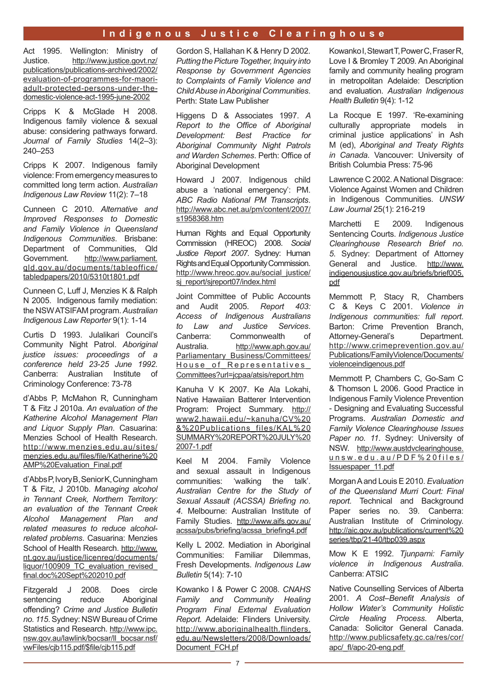## **Indigenous Justice Clearinghouse**

Act 1995. Wellington: Ministry of Justice. [http://www.justice.govt.nz/](http://www.justice.govt.nz/publications/publications-archived/2002/evaluation-of-programmes-for-maori-adult-protected-persons-under-the-domestic-violence-act-1995-june-2002) [publications/publications-archived/2002/](http://www.justice.govt.nz/publications/publications-archived/2002/evaluation-of-programmes-for-maori-adult-protected-persons-under-the-domestic-violence-act-1995-june-2002) [evaluation-of-programmes-for-maori](http://www.justice.govt.nz/publications/publications-archived/2002/evaluation-of-programmes-for-maori-adult-protected-persons-under-the-domestic-violence-act-1995-june-2002)[adult-protected-persons-under-the](http://www.justice.govt.nz/publications/publications-archived/2002/evaluation-of-programmes-for-maori-adult-protected-persons-under-the-domestic-violence-act-1995-june-2002)[domestic-violence-act-1995-june-2002](http://www.justice.govt.nz/publications/publications-archived/2002/evaluation-of-programmes-for-maori-adult-protected-persons-under-the-domestic-violence-act-1995-june-2002)

Cripps K & McGlade H 2008. Indigenous family violence & sexual abuse: considering pathways forward. *Journal of Family Studies* 14(2–3): 240–253

Cripps K 2007. Indigenous family violence: From emergency measures to committed long term action. *Australian Indigenous Law Review* 11(2): 7–18

Cunneen C 2010. *Alternative and Improved Responses to Domestic and Family Violence in Queensland Indigenous Communities*. Brisbane: Department of Communities, Qld Government. [http://www.parliament.](http://www.parliament.qld.gov.au/documents/tableoffice/tabledpapers/2010/5310t1801.pdf) [qld.gov.au/documents/tableoffice/](http://www.parliament.qld.gov.au/documents/tableoffice/tabledpapers/2010/5310t1801.pdf) [tabledpapers/2010/5310t1801.pdf](http://www.parliament.qld.gov.au/documents/tableoffice/tabledpapers/2010/5310t1801.pdf)

Cunneen C, Luff J, Menzies K & Ralph N 2005. Indigenous family mediation: the NSW ATSIFAM program. *Australian Indigenous Law Reporter* 9(1): 1-14

Curtis D 1993. Julalikari Council's Community Night Patrol. *Aboriginal justice issues: proceedings of a conference held 23-25 June 1992*. Canberra: Australian Institute of Criminology Conference: 73-78

d'Abbs P, McMahon R, Cunningham T & Fitz J 2010a. *An evaluation of the Katherine Alcohol Management Plan and Liquor Supply Plan*. Casuarina: Menzies School of Health Research. [http://www.menzies.edu.au/sites/](http://www.menzies.edu.au/sites/menzies.edu.au/files/file/Katherine AMP Evaluation_Final.pdf) [menzies.edu.au/files/file/Katherine%20](http://www.menzies.edu.au/sites/menzies.edu.au/files/file/Katherine AMP Evaluation_Final.pdf) [AMP%20Evaluation\\_Final.pdf](http://www.menzies.edu.au/sites/menzies.edu.au/files/file/Katherine AMP Evaluation_Final.pdf)

d'Abbs P, Ivory B, Senior K, Cunningham T & Fitz, J 2010b. *Managing alcohol in Tennant Creek, Northern Territory: an evaluation of the Tennant Creek Alcohol Management Plan and related measures to reduce alcoholrelated problems*. Casuarina: Menzies School of Health Research. [http://www.](http://www.nt.gov.au/justice/licenreg/documents/liquor/100909_TC_evaluation_revised_final.doc Sept 2010.pdf) [nt.gov.au/justice/licenreg/documents/](http://www.nt.gov.au/justice/licenreg/documents/liquor/100909_TC_evaluation_revised_final.doc Sept 2010.pdf) liquor/100909\_TC\_evaluation\_revised [final.doc%20Sept%202010.pdf](http://www.nt.gov.au/justice/licenreg/documents/liquor/100909_TC_evaluation_revised_final.doc Sept 2010.pdf)

Fitzgerald J 2008. Does circle sentencing reduce Aboriginal offending? *Crime and Justice Bulletin no. 115*. Sydney: NSW Bureau of Crime Statistics and Research. [http://www.ipc.](http://www.ipc.nsw.gov.au/lawlink/bocsar/ll_bocsar.nsf/vwFiles/cjb115.pdf/$file/cjb115.pdf) [nsw.gov.au/lawlink/bocsar/ll\\_bocsar.nsf/](http://www.ipc.nsw.gov.au/lawlink/bocsar/ll_bocsar.nsf/vwFiles/cjb115.pdf/$file/cjb115.pdf) [vwFiles/cjb115.pdf/\\$file/cjb115.pdf](http://www.ipc.nsw.gov.au/lawlink/bocsar/ll_bocsar.nsf/vwFiles/cjb115.pdf/$file/cjb115.pdf)

Gordon S, Hallahan K & Henry D 2002*. Putting the Picture Together, Inquiry into Response by Government Agencies to Complaints of Family Violence and Child Abuse in Aboriginal Communities*. Perth: State Law Publisher

Higgens D & Associates 1997. *A Report to the Office of Aboriginal Development: Best Practice for Aboriginal Community Night Patrols and Warden Schemes*. Perth: Office of Aboriginal Development

Howard J 2007. Indigenous child abuse a 'national emergency': PM. *ABC Radio National PM Transcripts*. [http://www.abc.net.au/pm/content/2007/](http://www.abc.net.au/pm/content/2007/s1958368.htm) [s1958368.htm](http://www.abc.net.au/pm/content/2007/s1958368.htm)

Human Rights and Equal Opportunity Commission (HREOC) 2008. *Social Justice Report 2007*. Sydney: Human Rights and Equal Opportunity Commission. [http://www.hreoc.gov.au/social\\_justice/](http://www.hreoc.gov.au/social_justice/sj_report/sjreport07/index.html) [sj\\_report/sjreport07/index.html](http://www.hreoc.gov.au/social_justice/sj_report/sjreport07/index.html)

Joint Committee of Public Accounts and Audit 2005. *Report 403: Access of Indigenous Australians to Law and Justice Services*. Canberra: Commonwealth of Australia. [http://www.aph.gov.au/](http://www.aph.gov.au/Parliamentary_Business/Committees/House_of_Representatives_Committees?url=jcpaa/atsis/report.htm) [Parliamentary\\_Business/Committees/](http://www.aph.gov.au/Parliamentary_Business/Committees/House_of_Representatives_Committees?url=jcpaa/atsis/report.htm) House of Representatives [Committees?url=jcpaa/atsis/report.htm](http://www.aph.gov.au/Parliamentary_Business/Committees/House_of_Representatives_Committees?url=jcpaa/atsis/report.htm)

Kanuha V K 2007. Ke Ala Lokahi, Native Hawaiian Batterer Intervention Program: Project Summary. [http://](http://www2.hawaii.edu/~kanuha/CV & Publications_files/KAL SUMMARY REPORT JULY 2007-1.pdf) [www2.hawaii.edu/~kanuha/CV%20](http://www2.hawaii.edu/~kanuha/CV & Publications_files/KAL SUMMARY REPORT JULY 2007-1.pdf) [&%20Publications\\_files/KAL%20](http://www2.hawaii.edu/~kanuha/CV & Publications_files/KAL SUMMARY REPORT JULY 2007-1.pdf) [SUMMARY%20REPORT%20JULY%20](http://www2.hawaii.edu/~kanuha/CV & Publications_files/KAL SUMMARY REPORT JULY 2007-1.pdf) [2007-1.pdf](http://www2.hawaii.edu/~kanuha/CV & Publications_files/KAL SUMMARY REPORT JULY 2007-1.pdf)

Keel M 2004. Family Violence and sexual assault in Indigenous communities: 'walking the talk'. *Australian Centre for the Study of Sexual Assault (ACSSA) Briefing no. 4*. Melbourne: Australian Institute of Family Studies. [http://www.aifs.gov.au/](http://www.aifs.gov.au/acssa/pubs/briefing/acssa_briefing4.pdf) [acssa/pubs/briefing/acssa\\_briefing4.pdf](http://www.aifs.gov.au/acssa/pubs/briefing/acssa_briefing4.pdf)

Kelly L 2002. Mediation in Aboriginal Communities: Familiar Dilemmas, Fresh Developments. *Indigenous Law Bulletin* 5(14): 7-10

Kowanko I & Power C 2008. *CNAHS Family and Community Healing Program Final External Evaluation Report.* Adelaide: Flinders University. [http://www.aboriginalhealth.flinders.](http://www.aboriginalhealth.flinders.edu.au/Newsletters/2008/Downloads/Document_FCH.pf) [edu.au/Newsletters/2008/Downloads/](http://www.aboriginalhealth.flinders.edu.au/Newsletters/2008/Downloads/Document_FCH.pf) [Document\\_FCH.pf](http://www.aboriginalhealth.flinders.edu.au/Newsletters/2008/Downloads/Document_FCH.pf)

Kowanko I, Stewart T, Power C, Fraser R, Love I & Bromley T 2009. An Aboriginal family and community healing program in metropolitan Adelaide: Description and evaluation. *Australian Indigenous Health Bulletin* 9(4): 1-12

La Rocque E 1997. 'Re-examining culturally appropriate models in criminal justice applications' in Ash M (ed), *Aboriginal and Treaty Rights in Canada*. Vancouver: University of British Columbia Press: 75-96

Lawrence C 2002. A National Disgrace: Violence Against Women and Children in Indigenous Communities. *UNSW Law Journal* 25(1): 216-219

Marchetti E 2009. Indigenous Sentencing Courts. *Indigenous Justice Clearinghouse Research Brief no. 5*. Sydney: Department of Attorney General and Justice. [http://www.](http://www.indigenousjustice.gov.au/briefs/brief005.pdf) [indigenousjustice.gov.au/briefs/brief005.](http://www.indigenousjustice.gov.au/briefs/brief005.pdf) [pdf](http://www.indigenousjustice.gov.au/briefs/brief005.pdf)

Memmott P, Stacy R, Chambers C & Keys C 2001. *Violence in Indigenous communities: full report*. Barton: Crime Prevention Branch, Attorney-General's Department. [http://www.crimeprevention.gov.au/](http://www.crimeprevention.gov.au/Publications/FamilyViolence/Documents/violenceindigenous.pdf) [Publications/FamilyViolence/Documents/](http://www.crimeprevention.gov.au/Publications/FamilyViolence/Documents/violenceindigenous.pdf) [violenceindigenous.pdf](http://www.crimeprevention.gov.au/Publications/FamilyViolence/Documents/violenceindigenous.pdf)

Memmott P, Chambers C, Go-Sam C & Thomson L 2006. Good Practice in Indigenous Family Violence Prevention - Designing and Evaluating Successful Programs. *Australian Domestic and Family Violence Clearinghouse Issues Paper no. 11*. Sydney: University of NSW. [http://www.austdvclearinghouse.](http://www.austdvclearinghouse.unsw.edu.au/PDF files/Issuespaper_11.pdf) [unsw.edu.au/PDF%20files/](http://www.austdvclearinghouse.unsw.edu.au/PDF files/Issuespaper_11.pdf) [Issuespaper\\_11.pdf](http://www.austdvclearinghouse.unsw.edu.au/PDF files/Issuespaper_11.pdf)

Morgan A and Louis E 2010. *Evaluation of the Queensland Murri Court: Final report.* Technical and Background Paper series no. 39. Canberra: Australian Institute of Criminology. [http://aic.gov.au/publications/current%20](http://aic.gov.au/publications/current series/tbp/21-40/tbp039.aspx) [series/tbp/21-40/tbp039.aspx](http://aic.gov.au/publications/current series/tbp/21-40/tbp039.aspx)

Mow K E 1992. *Tjunparni: Family violence in Indigenous Australia*. Canberra: ATSIC

Native Counselling Services of Alberta 2001. *A Cost–Benefit Analysis of Hollow Water's Community Holistic Circle Healing Process*. Alberta, Canada: Solicitor General Canada. [http://www.publicsafety.gc.ca/res/cor/](http://www.publicsafety.gc.ca/res/cor/apc/apc-20-eng.aspx) [apc/\\_fl/apc-20-eng.pdf](http://www.publicsafety.gc.ca/res/cor/apc/apc-20-eng.aspx)